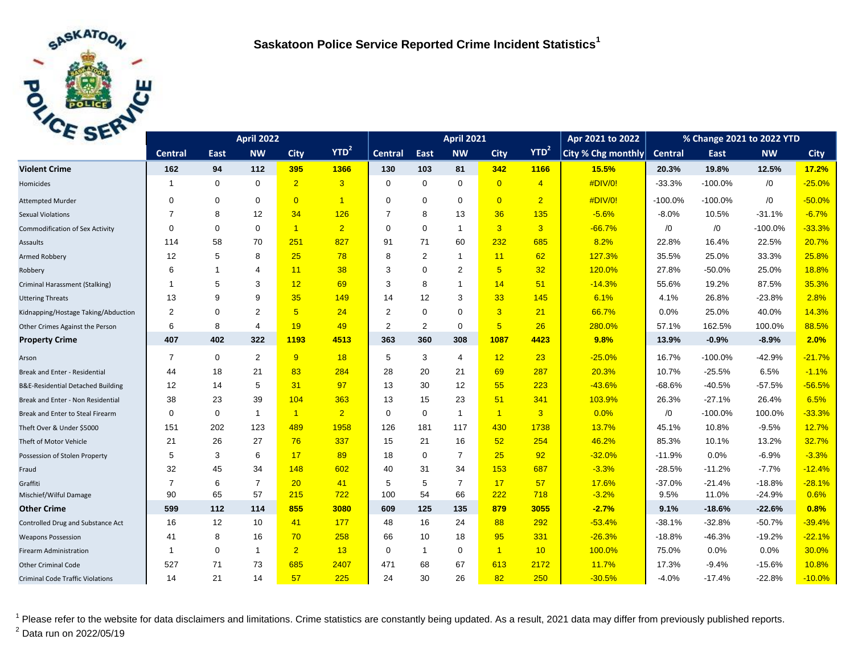

| C <sub>2F</sub>                         |                | <b>April 2021</b> |                |                |                |                | Apr 2021 to 2022 | % Change 2021 to 2022 YTD |                |                  |                    |                |            |            |             |
|-----------------------------------------|----------------|-------------------|----------------|----------------|----------------|----------------|------------------|---------------------------|----------------|------------------|--------------------|----------------|------------|------------|-------------|
|                                         | <b>Central</b> | East              | <b>NW</b>      | <b>City</b>    | $YTD^2$        | <b>Central</b> | East             | <b>NW</b>                 | <b>City</b>    | YTD <sup>2</sup> | City % Chg monthly | <b>Central</b> | East       | <b>NW</b>  | <b>City</b> |
| <b>Violent Crime</b>                    | 162            | 94                | 112            | 395            | 1366           | 130            | 103              | 81                        | 342            | 1166             | 15.5%              | 20.3%          | 19.8%      | 12.5%      | 17.2%       |
| Homicides                               | -1             | $\mathbf 0$       | $\mathbf 0$    | $\overline{2}$ | $\overline{3}$ | $\Omega$       | $\mathbf 0$      | $\mathbf 0$               | $\overline{0}$ | $\overline{4}$   | #DIV/0!            | $-33.3%$       | $-100.0%$  | $\sqrt{0}$ | $-25.0%$    |
| <b>Attempted Murder</b>                 | $\Omega$       | $\mathbf 0$       | $\mathbf 0$    | $\overline{0}$ | $\overline{1}$ | $\Omega$       | $\mathbf 0$      | $\mathbf 0$               | $\overline{0}$ | $\overline{2}$   | #DIV/0!            | $-100.0%$      | $-100.0\%$ | $\sqrt{0}$ | $-50.0%$    |
| <b>Sexual Violations</b>                | 7              | 8                 | 12             | 34             | 126            | $\overline{7}$ | 8                | 13                        | 36             | 135              | $-5.6%$            | $-8.0%$        | 10.5%      | $-31.1%$   | $-6.7%$     |
| <b>Commodification of Sex Activity</b>  | 0              | $\mathbf 0$       | $\mathbf 0$    | $\overline{1}$ | $\overline{2}$ | $\mathbf 0$    | $\mathbf 0$      | $\mathbf{1}$              | 3              | $\overline{3}$   | $-66.7%$           | /0             | /0         | $-100.0%$  | $-33.3%$    |
| Assaults                                | 114            | 58                | 70             | 251            | 827            | 91             | 71               | 60                        | 232            | 685              | 8.2%               | 22.8%          | 16.4%      | 22.5%      | 20.7%       |
| Armed Robbery                           | 12             | 5                 | 8              | 25             | 78             | 8              | 2                | $\mathbf{1}$              | 11             | 62               | 127.3%             | 35.5%          | 25.0%      | 33.3%      | 25.8%       |
| Robbery                                 | 6              | $\mathbf 1$       | 4              | 11             | 38             | 3              | $\mathbf 0$      | 2                         | 5 <sup>5</sup> | 32               | 120.0%             | 27.8%          | $-50.0%$   | 25.0%      | 18.8%       |
| Criminal Harassment (Stalking)          | -1             | 5                 | 3              | 12             | 69             | 3              | 8                | $\mathbf{1}$              | 14             | 51               | $-14.3%$           | 55.6%          | 19.2%      | 87.5%      | 35.3%       |
| <b>Uttering Threats</b>                 | 13             | 9                 | 9              | 35             | 149            | 14             | 12               | 3                         | 33             | 145              | 6.1%               | 4.1%           | 26.8%      | $-23.8%$   | 2.8%        |
| Kidnapping/Hostage Taking/Abduction     | 2              | $\mathbf 0$       | 2              | 5 <sup>5</sup> | 24             | 2              | $\Omega$         | $\mathbf 0$               | $\overline{3}$ | 21               | 66.7%              | 0.0%           | 25.0%      | 40.0%      | 14.3%       |
| Other Crimes Against the Person         | 6              | 8                 | $\overline{4}$ | 19             | 49             | 2              | 2                | $\mathbf 0$               | 5 <sub>5</sub> | 26               | 280.0%             | 57.1%          | 162.5%     | 100.0%     | 88.5%       |
| <b>Property Crime</b>                   | 407            | 402               | 322            | 1193           | 4513           | 363            | 360              | 308                       | 1087           | 4423             | 9.8%               | 13.9%          | $-0.9%$    | $-8.9%$    | 2.0%        |
| Arson                                   | $\overline{7}$ | $\mathbf 0$       | $\overline{2}$ | 9              | 18             | 5              | 3                | 4                         | 12             | 23               | $-25.0%$           | 16.7%          | $-100.0%$  | $-42.9%$   | $-21.7%$    |
| Break and Enter - Residential           | 44             | 18                | 21             | 83             | 284            | 28             | 20               | 21                        | 69             | 287              | 20.3%              | 10.7%          | $-25.5%$   | 6.5%       | $-1.1%$     |
| B&E-Residential Detached Building       | 12             | 14                | 5              | 31             | 97             | 13             | 30               | 12                        | 55             | 223              | $-43.6%$           | $-68.6%$       | $-40.5%$   | $-57.5%$   | $-56.5%$    |
| Break and Enter - Non Residential       | 38             | 23                | 39             | 104            | 363            | 13             | 15               | 23                        | 51             | 341              | 103.9%             | 26.3%          | $-27.1%$   | 26.4%      | 6.5%        |
| Break and Enter to Steal Firearm        | $\mathbf 0$    | $\mathbf 0$       | $\mathbf{1}$   | $\overline{1}$ | $\overline{2}$ | $\mathbf 0$    | $\mathbf 0$      | $\mathbf{1}$              | $\vert$ 1      | 3                | 0.0%               | /0             | $-100.0%$  | 100.0%     | $-33.3%$    |
| Theft Over & Under \$5000               | 151            | 202               | 123            | 489            | 1958           | 126            | 181              | 117                       | 430            | 1738             | 13.7%              | 45.1%          | 10.8%      | $-9.5%$    | 12.7%       |
| Theft of Motor Vehicle                  | 21             | 26                | 27             | 76             | 337            | 15             | 21               | 16                        | 52             | 254              | 46.2%              | 85.3%          | 10.1%      | 13.2%      | 32.7%       |
| Possession of Stolen Property           | 5              | 3                 | 6              | 17             | 89             | 18             | $\mathbf 0$      | $\overline{7}$            | 25             | 92               | $-32.0%$           | $-11.9%$       | 0.0%       | $-6.9%$    | $-3.3%$     |
| Fraud                                   | 32             | 45                | 34             | 148            | 602            | 40             | 31               | 34                        | 153            | 687              | $-3.3%$            | $-28.5%$       | $-11.2%$   | $-7.7%$    | $-12.4%$    |
| Graffiti                                | $\overline{7}$ | 6                 | $\overline{7}$ | 20             | 41             | 5              | 5                | $\overline{7}$            | 17             | 57               | 17.6%              | $-37.0%$       | $-21.4%$   | $-18.8%$   | $-28.1%$    |
| Mischief/Wilful Damage                  | 90             | 65                | 57             | 215            | 722            | 100            | 54               | 66                        | 222            | 718              | $-3.2%$            | 9.5%           | 11.0%      | $-24.9%$   | 0.6%        |
| <b>Other Crime</b>                      | 599            | 112               | 114            | 855            | 3080           | 609            | 125              | 135                       | 879            | 3055             | $-2.7%$            | 9.1%           | $-18.6%$   | $-22.6%$   | 0.8%        |
| Controlled Drug and Substance Act       | 16             | 12                | 10             | 41             | 177            | 48             | 16               | 24                        | 88             | 292              | $-53.4%$           | $-38.1%$       | $-32.8%$   | $-50.7%$   | $-39.4%$    |
| <b>Weapons Possession</b>               | 41             | 8                 | 16             | 70             | 258            | 66             | 10               | 18                        | 95             | 331              | $-26.3%$           | $-18.8%$       | $-46.3%$   | $-19.2%$   | $-22.1%$    |
| <b>Firearm Administration</b>           | $\overline{1}$ | $\mathbf 0$       | $\mathbf{1}$   | 2 <sup>2</sup> | 13             | $\mathbf 0$    | $\mathbf{1}$     | $\mathbf 0$               | $\vert$ 1      | 10               | 100.0%             | 75.0%          | 0.0%       | 0.0%       | 30.0%       |
| <b>Other Criminal Code</b>              | 527            | 71                | 73             | 685            | 2407           | 471            | 68               | 67                        | 613            | 2172             | 11.7%              | 17.3%          | $-9.4%$    | $-15.6%$   | 10.8%       |
| <b>Criminal Code Traffic Violations</b> | 14             | 21                | 14             | 57             | 225            | 24             | 30               | 26                        | 82             | 250              | $-30.5%$           | $-4.0%$        | $-17.4%$   | $-22.8%$   | $-10.0%$    |

<sup>1</sup> Please refer to the website for data disclaimers and limitations. Crime statistics are constantly being updated. As a result, 2021 data may differ from previously published reports.  $^{2}$  Data run on 2022/05/19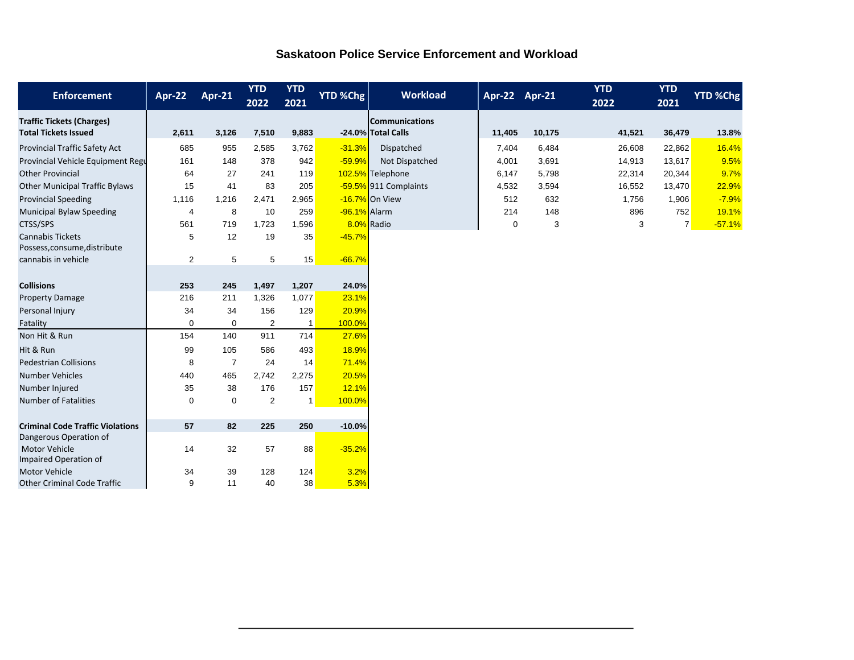## **Saskatoon Police Service Enforcement and Workload**

| <b>Enforcement</b>                                              | Apr-22         | <b>Apr-21</b>  | <b>YTD</b><br>2022 | <b>YTD</b><br>2021 | YTD %Chg     | <b>Workload</b>                             | Apr-22 Apr-21 |        | <b>YTD</b><br>2022 | <b>YTD</b><br>2021 | YTD %Chg |
|-----------------------------------------------------------------|----------------|----------------|--------------------|--------------------|--------------|---------------------------------------------|---------------|--------|--------------------|--------------------|----------|
| <b>Traffic Tickets (Charges)</b><br><b>Total Tickets Issued</b> | 2,611          | 3,126          | 7,510              | 9,883              |              | <b>Communications</b><br>-24.0% Total Calls | 11,405        | 10,175 | 41,521             | 36,479             | 13.8%    |
|                                                                 |                |                |                    |                    |              |                                             |               |        |                    |                    |          |
| Provincial Traffic Safety Act                                   | 685            | 955            | 2,585              | 3,762              | $-31.3%$     | Dispatched                                  | 7,404         | 6,484  | 26,608             | 22,862             | 16.4%    |
| Provincial Vehicle Equipment Regu                               | 161            | 148            | 378                | 942                | $-59.9%$     | Not Dispatched                              | 4,001         | 3,691  | 14,913             | 13,617             | 9.5%     |
| <b>Other Provincial</b>                                         | 64             | 27             | 241                | 119                |              | 102.5% Telephone                            | 6,147         | 5,798  | 22,314             | 20,344             | 9.7%     |
| <b>Other Municipal Traffic Bylaws</b>                           | 15             | 41             | 83                 | 205                |              | -59.5% 911 Complaints                       | 4,532         | 3,594  | 16,552             | 13,470             | 22.9%    |
| <b>Provincial Speeding</b>                                      | 1,116          | 1,216          | 2,471              | 2,965              |              | -16.7% On View                              | 512           | 632    | 1,756              | 1,906              | $-7.9%$  |
| <b>Municipal Bylaw Speeding</b>                                 | $\overline{4}$ | 8              | 10                 | 259                | -96.1% Alarm |                                             | 214           | 148    | 896                | 752                | 19.1%    |
| CTSS/SPS                                                        | 561            | 719            | 1,723              | 1,596              |              | 8.0% Radio                                  | $\mathbf 0$   | 3      | 3                  | 7 <sup>1</sup>     | $-57.1%$ |
| <b>Cannabis Tickets</b><br>Possess, consume, distribute         | 5              | 12             | 19                 | 35                 | $-45.7%$     |                                             |               |        |                    |                    |          |
| cannabis in vehicle                                             | $\overline{2}$ | 5              | 5                  | 15                 | $-66.7%$     |                                             |               |        |                    |                    |          |
|                                                                 |                |                |                    |                    |              |                                             |               |        |                    |                    |          |
| <b>Collisions</b>                                               | 253            | 245            | 1,497              | 1,207              | 24.0%        |                                             |               |        |                    |                    |          |
| <b>Property Damage</b>                                          | 216            | 211            | 1,326              | 1,077              | 23.1%        |                                             |               |        |                    |                    |          |
| Personal Injury                                                 | 34             | 34             | 156                | 129                | 20.9%        |                                             |               |        |                    |                    |          |
| Fatality                                                        | $\mathbf 0$    | $\mathbf 0$    | $\overline{2}$     | $\overline{1}$     | 100.0%       |                                             |               |        |                    |                    |          |
| Non Hit & Run                                                   | 154            | 140            | 911                | 714                | 27.6%        |                                             |               |        |                    |                    |          |
| Hit & Run                                                       | 99             | 105            | 586                | 493                | 18.9%        |                                             |               |        |                    |                    |          |
| <b>Pedestrian Collisions</b>                                    | 8              | $\overline{7}$ | 24                 | 14                 | 71.4%        |                                             |               |        |                    |                    |          |
| <b>Number Vehicles</b>                                          | 440            | 465            | 2,742              | 2,275              | 20.5%        |                                             |               |        |                    |                    |          |
| Number Injured                                                  | 35             | 38             | 176                | 157                | 12.1%        |                                             |               |        |                    |                    |          |
| <b>Number of Fatalities</b>                                     | $\mathbf 0$    | $\mathbf 0$    | $\overline{2}$     | $\mathbf{1}$       | 100.0%       |                                             |               |        |                    |                    |          |
|                                                                 |                |                |                    |                    |              |                                             |               |        |                    |                    |          |
| <b>Criminal Code Traffic Violations</b>                         | 57             | 82             | 225                | 250                | $-10.0%$     |                                             |               |        |                    |                    |          |
| Dangerous Operation of                                          |                |                |                    |                    |              |                                             |               |        |                    |                    |          |
| <b>Motor Vehicle</b>                                            | 14             | 32             | 57                 | 88                 | $-35.2%$     |                                             |               |        |                    |                    |          |
| Impaired Operation of                                           |                |                |                    |                    |              |                                             |               |        |                    |                    |          |
| <b>Motor Vehicle</b>                                            | 34             | 39             | 128                | 124                | 3.2%         |                                             |               |        |                    |                    |          |
| <b>Other Criminal Code Traffic</b>                              | 9              | 11             | 40                 | 38                 | 5.3%         |                                             |               |        |                    |                    |          |